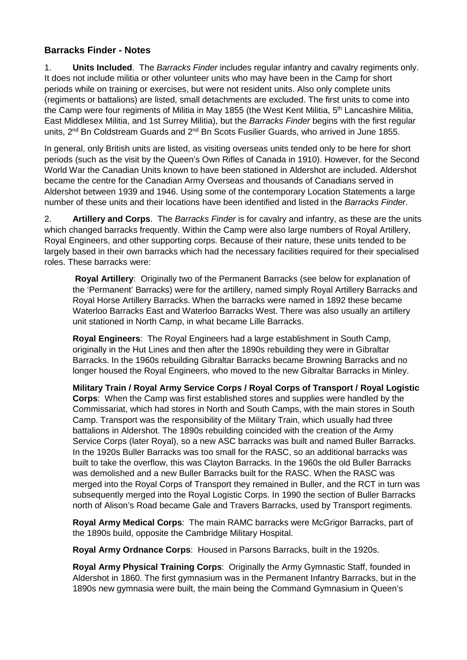## **Barracks Finder - Notes**

1. **Units Included**. The *Barracks Finder* includes regular infantry and cavalry regiments only. It does not include militia or other volunteer units who may have been in the Camp for short periods while on training or exercises, but were not resident units. Also only complete units (regiments or battalions) are listed, small detachments are excluded. The first units to come into the Camp were four regiments of Militia in May 1855 (the West Kent Militia, 5<sup>th</sup> Lancashire Militia, East Middlesex Militia, and 1st Surrey Militia), but the *Barracks Finder* begins with the first regular units, 2<sup>nd</sup> Bn Coldstream Guards and 2<sup>nd</sup> Bn Scots Fusilier Guards, who arrived in June 1855.

In general, only British units are listed, as visiting overseas units tended only to be here for short periods (such as the visit by the Queen's Own Rifles of Canada in 1910). However, for the Second World War the Canadian Units known to have been stationed in Aldershot are included. Aldershot became the centre for the Canadian Army Overseas and thousands of Canadians served in Aldershot between 1939 and 1946. Using some of the contemporary Location Statements a large number of these units and their locations have been identified and listed in the *Barracks Finder*.

2. **Artillery and Corps**. The *Barracks Finder* is for cavalry and infantry, as these are the units which changed barracks frequently. Within the Camp were also large numbers of Royal Artillery, Royal Engineers, and other supporting corps. Because of their nature, these units tended to be largely based in their own barracks which had the necessary facilities required for their specialised roles. These barracks were:

**Royal Artillery**: Originally two of the Permanent Barracks (see below for explanation of the 'Permanent' Barracks) were for the artillery, named simply Royal Artillery Barracks and Royal Horse Artillery Barracks. When the barracks were named in 1892 these became Waterloo Barracks East and Waterloo Barracks West. There was also usually an artillery unit stationed in North Camp, in what became Lille Barracks.

**Royal Engineers**: The Royal Engineers had a large establishment in South Camp, originally in the Hut Lines and then after the 1890s rebuilding they were in Gibraltar Barracks. In the 1960s rebuilding Gibraltar Barracks became Browning Barracks and no longer housed the Royal Engineers, who moved to the new Gibraltar Barracks in Minley.

**Military Train / Royal Army Service Corps / Royal Corps of Transport / Royal Logistic Corps**: When the Camp was first established stores and supplies were handled by the Commissariat, which had stores in North and South Camps, with the main stores in South Camp. Transport was the responsibility of the Military Train, which usually had three battalions in Aldershot. The 1890s rebuilding coincided with the creation of the Army Service Corps (later Royal), so a new ASC barracks was built and named Buller Barracks. In the 1920s Buller Barracks was too small for the RASC, so an additional barracks was built to take the overflow, this was Clayton Barracks. In the 1960s the old Buller Barracks was demolished and a new Buller Barracks built for the RASC. When the RASC was merged into the Royal Corps of Transport they remained in Buller, and the RCT in turn was subsequently merged into the Royal Logistic Corps. In 1990 the section of Buller Barracks north of Alison's Road became Gale and Travers Barracks, used by Transport regiments.

**Royal Army Medical Corps**: The main RAMC barracks were McGrigor Barracks, part of the 1890s build, opposite the Cambridge Military Hospital.

**Royal Army Ordnance Corps**: Housed in Parsons Barracks, built in the 1920s.

**Royal Army Physical Training Corps**: Originally the Army Gymnastic Staff, founded in Aldershot in 1860. The first gymnasium was in the Permanent Infantry Barracks, but in the 1890s new gymnasia were built, the main being the Command Gymnasium in Queen's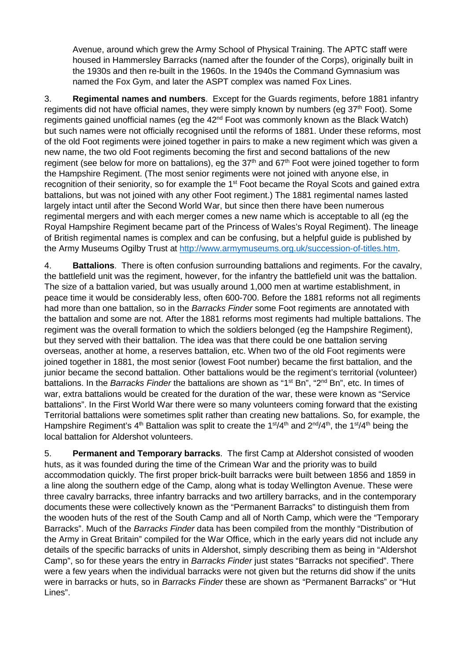Avenue, around which grew the Army School of Physical Training. The APTC staff were housed in Hammersley Barracks (named after the founder of the Corps), originally built in the 1930s and then re-built in the 1960s. In the 1940s the Command Gymnasium was named the Fox Gym, and later the ASPT complex was named Fox Lines.

3. **Regimental names and numbers**. Except for the Guards regiments, before 1881 infantry regiments did not have official names, they were simply known by numbers (eg  $37<sup>th</sup>$  Foot). Some regiments gained unofficial names (eg the  $42<sup>nd</sup>$  Foot was commonly known as the Black Watch) but such names were not officially recognised until the reforms of 1881. Under these reforms, most of the old Foot regiments were joined together in pairs to make a new regiment which was given a new name, the two old Foot regiments becoming the first and second battalions of the new regiment (see below for more on battalions), eg the  $37<sup>th</sup>$  and  $67<sup>th</sup>$  Foot were joined together to form the Hampshire Regiment. (The most senior regiments were not joined with anyone else, in recognition of their seniority, so for example the 1<sup>st</sup> Foot became the Royal Scots and gained extra battalions, but was not joined with any other Foot regiment.) The 1881 regimental names lasted largely intact until after the Second World War, but since then there have been numerous regimental mergers and with each merger comes a new name which is acceptable to all (eg the Royal Hampshire Regiment became part of the Princess of Wales's Royal Regiment). The lineage of British regimental names is complex and can be confusing, but a helpful guide is published by the Army Museums Ogilby Trust at [http://www.armymuseums.org.uk/succession-of-titles.htm.](http://www.armymuseums.org.uk/succession-of-titles.htm)

4. **Battalions**. There is often confusion surrounding battalions and regiments. For the cavalry, the battlefield unit was the regiment, however, for the infantry the battlefield unit was the battalion. The size of a battalion varied, but was usually around 1,000 men at wartime establishment, in peace time it would be considerably less, often 600-700. Before the 1881 reforms not all regiments had more than one battalion, so in the *Barracks Finder* some Foot regiments are annotated with the battalion and some are not. After the 1881 reforms most regiments had multiple battalions. The regiment was the overall formation to which the soldiers belonged (eg the Hampshire Regiment), but they served with their battalion. The idea was that there could be one battalion serving overseas, another at home, a reserves battalion, etc. When two of the old Foot regiments were joined together in 1881, the most senior (lowest Foot number) became the first battalion, and the junior became the second battalion. Other battalions would be the regiment's territorial (volunteer) battalions. In the *Barracks Finder* the battalions are shown as "1<sup>st</sup> Bn", "2<sup>nd</sup> Bn", etc. In times of war, extra battalions would be created for the duration of the war, these were known as "Service battalions". In the First World War there were so many volunteers coming forward that the existing Territorial battalions were sometimes split rather than creating new battalions. So, for example, the Hampshire Regiment's 4<sup>th</sup> Battalion was split to create the 1<sup>st</sup>/4<sup>th</sup> and 2<sup>nd</sup>/4<sup>th</sup>, the 1<sup>st</sup>/4<sup>th</sup> being the local battalion for Aldershot volunteers.

5. **Permanent and Temporary barracks**. The first Camp at Aldershot consisted of wooden huts, as it was founded during the time of the Crimean War and the priority was to build accommodation quickly. The first proper brick-built barracks were built between 1856 and 1859 in a line along the southern edge of the Camp, along what is today Wellington Avenue. These were three cavalry barracks, three infantry barracks and two artillery barracks, and in the contemporary documents these were collectively known as the "Permanent Barracks" to distinguish them from the wooden huts of the rest of the South Camp and all of North Camp, which were the "Temporary Barracks". Much of the *Barracks Finder* data has been compiled from the monthly "Distribution of the Army in Great Britain" compiled for the War Office, which in the early years did not include any details of the specific barracks of units in Aldershot, simply describing them as being in "Aldershot Camp", so for these years the entry in *Barracks Finder* just states "Barracks not specified". There were a few years when the individual barracks were not given but the returns did show if the units were in barracks or huts, so in *Barracks Finder* these are shown as "Permanent Barracks" or "Hut Lines".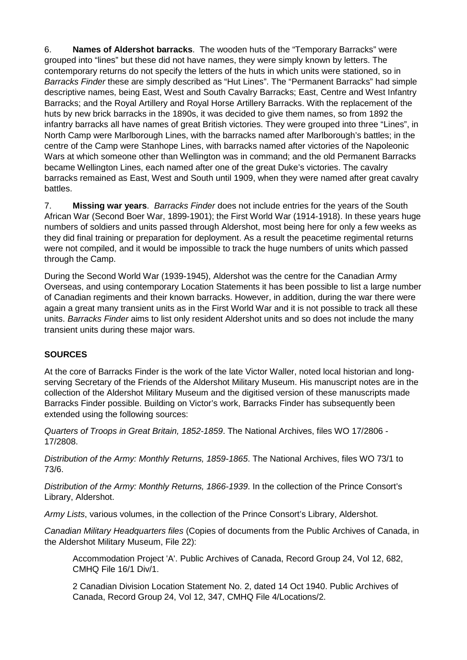6. **Names of Aldershot barracks**. The wooden huts of the "Temporary Barracks" were grouped into "lines" but these did not have names, they were simply known by letters. The contemporary returns do not specify the letters of the huts in which units were stationed, so in *Barracks Finder* these are simply described as "Hut Lines". The "Permanent Barracks" had simple descriptive names, being East, West and South Cavalry Barracks; East, Centre and West Infantry Barracks; and the Royal Artillery and Royal Horse Artillery Barracks. With the replacement of the huts by new brick barracks in the 1890s, it was decided to give them names, so from 1892 the infantry barracks all have names of great British victories. They were grouped into three "Lines", in North Camp were Marlborough Lines, with the barracks named after Marlborough's battles; in the centre of the Camp were Stanhope Lines, with barracks named after victories of the Napoleonic Wars at which someone other than Wellington was in command; and the old Permanent Barracks became Wellington Lines, each named after one of the great Duke's victories. The cavalry barracks remained as East, West and South until 1909, when they were named after great cavalry battles.

7. **Missing war years**. *Barracks Finder* does not include entries for the years of the South African War (Second Boer War, 1899-1901); the First World War (1914-1918). In these years huge numbers of soldiers and units passed through Aldershot, most being here for only a few weeks as they did final training or preparation for deployment. As a result the peacetime regimental returns were not compiled, and it would be impossible to track the huge numbers of units which passed through the Camp.

During the Second World War (1939-1945), Aldershot was the centre for the Canadian Army Overseas, and using contemporary Location Statements it has been possible to list a large number of Canadian regiments and their known barracks. However, in addition, during the war there were again a great many transient units as in the First World War and it is not possible to track all these units. *Barracks Finder* aims to list only resident Aldershot units and so does not include the many transient units during these major wars.

## **SOURCES**

At the core of Barracks Finder is the work of the late Victor Waller, noted local historian and longserving Secretary of the Friends of the Aldershot Military Museum. His manuscript notes are in the collection of the Aldershot Military Museum and the digitised version of these manuscripts made Barracks Finder possible. Building on Victor's work, Barracks Finder has subsequently been extended using the following sources:

*Quarters of Troops in Great Britain, 1852-1859*. The National Archives, files WO 17/2806 - 17/2808.

*Distribution of the Army: Monthly Returns, 1859-1865*. The National Archives, files WO 73/1 to 73/6.

*Distribution of the Army: Monthly Returns, 1866-1939*. In the collection of the Prince Consort's Library, Aldershot.

*Army Lists*, various volumes, in the collection of the Prince Consort's Library, Aldershot.

*Canadian Military Headquarters files* (Copies of documents from the Public Archives of Canada, in the Aldershot Military Museum, File 22):

Accommodation Project 'A'. Public Archives of Canada, Record Group 24, Vol 12, 682, CMHQ File 16/1 Div/1.

2 Canadian Division Location Statement No. 2, dated 14 Oct 1940. Public Archives of Canada, Record Group 24, Vol 12, 347, CMHQ File 4/Locations/2.